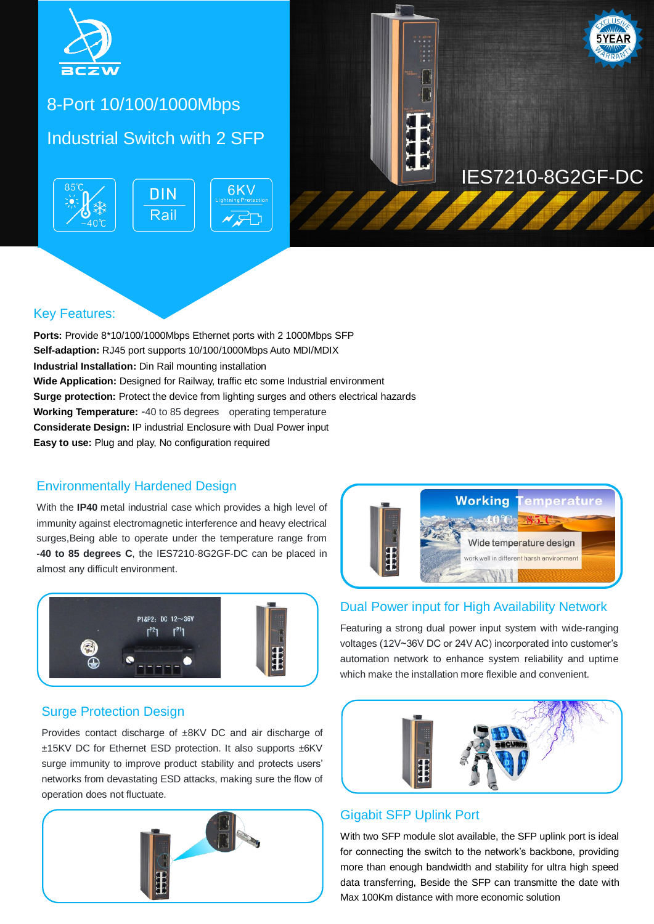

# 8-Port 10/100/1000Mbps

# Industrial Switch with 2 SFP





### Key Features:

**Ports:** Provide 8\*10/100/1000Mbps Ethernet ports with 2 1000Mbps SFP **Self-adaption:** RJ45 port supports 10/100/1000Mbps Auto MDI/MDIX **Industrial Installation:** Din Rail mounting installation **Wide Application:** Designed for Railway, traffic etc some Industrial environment **Surge protection:** Protect the device from lighting surges and others electrical hazards **Working Temperature:** -40 to 85 degrees operating temperature **Considerate Design:** IP industrial Enclosure with Dual Power input **Easy to use:** Plug and play, No configuration required

#### Environmentally Hardened Design

With the **IP40** metal industrial case which provides a high level of immunity against electromagnetic interference and heavy electrical surges,Being able to operate under the temperature range from **-40 to 85 degrees C**, the IES7210-8G2GF-DC can be placed in almost any difficult environment.



#### Surge Protection Design

Provides contact discharge of ±8KV DC and air discharge of ±15KV DC for Ethernet ESD protection. It also supports ±6KV surge immunity to improve product stability and protects users' networks from devastating ESD attacks, making sure the flow of operation does not fluctuate.





#### Dual Power input for High Availability Network

Featuring a strong dual power input system with wide-ranging voltages (12V~36V DC or 24V AC) incorporated into customer's automation network to enhance system reliability and uptime which make the installation more flexible and convenient.



#### Gigabit SFP Uplink Port

With two SFP module slot available, the SFP uplink port is ideal for connecting the switch to the network's backbone, providing more than enough bandwidth and stability for ultra high speed data transferring, Beside the SFP can transmitte the date with Max 100Km distance with more economic solution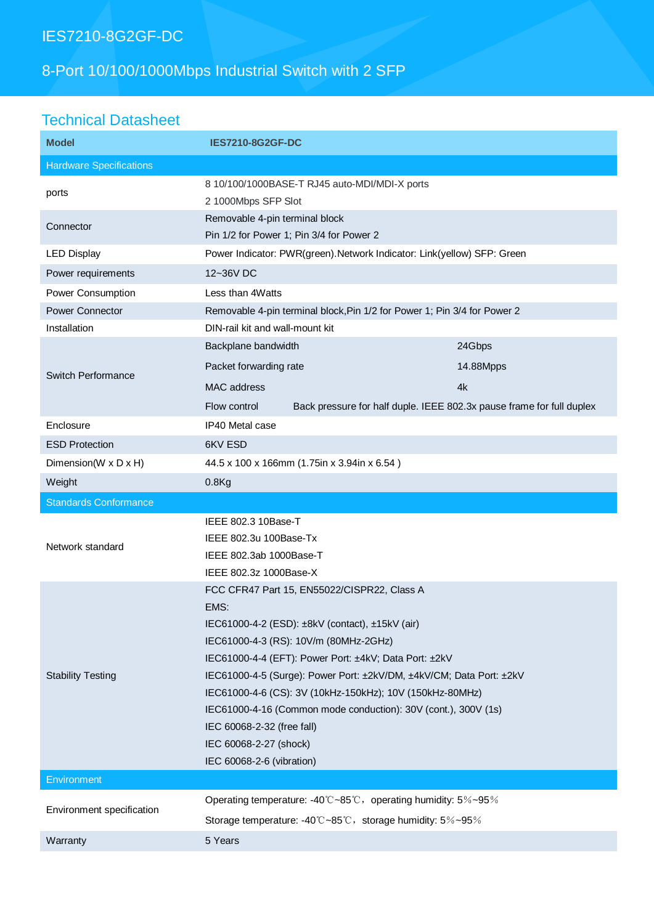# IES7210-8G2GF-DC

# 8-Port 10/100/1000Mbps Industrial Switch with 2 SFP

# Technical Datasheet

| <b>Model</b>                   | <b>IES7210-8G2GF-DC</b>                                                               |           |
|--------------------------------|---------------------------------------------------------------------------------------|-----------|
| <b>Hardware Specifications</b> |                                                                                       |           |
| ports                          | 8 10/100/1000BASE-T RJ45 auto-MDI/MDI-X ports<br>2 1000Mbps SFP Slot                  |           |
| Connector                      | Removable 4-pin terminal block<br>Pin 1/2 for Power 1; Pin 3/4 for Power 2            |           |
| <b>LED Display</b>             | Power Indicator: PWR(green). Network Indicator: Link(yellow) SFP: Green               |           |
| Power requirements             | 12~36V DC                                                                             |           |
| Power Consumption              | Less than 4Watts                                                                      |           |
| Power Connector                | Removable 4-pin terminal block, Pin 1/2 for Power 1; Pin 3/4 for Power 2              |           |
| Installation                   | DIN-rail kit and wall-mount kit                                                       |           |
| <b>Switch Performance</b>      | Backplane bandwidth                                                                   | 24Gbps    |
|                                | Packet forwarding rate                                                                | 14.88Mpps |
|                                | MAC address                                                                           | 4k        |
|                                | Back pressure for half duple. IEEE 802.3x pause frame for full duplex<br>Flow control |           |
| Enclosure                      | IP40 Metal case                                                                       |           |
| <b>ESD Protection</b>          | 6KV ESD                                                                               |           |
| Dimension(W x D x H)           | 44.5 x 100 x 166mm (1.75in x 3.94in x 6.54)                                           |           |
| Weight                         | $0.8$ Kg                                                                              |           |
|                                |                                                                                       |           |
| <b>Standards Conformance</b>   |                                                                                       |           |
|                                | IEEE 802.3 10Base-T                                                                   |           |
|                                | IEEE 802.3u 100Base-Tx                                                                |           |
| Network standard               | IEEE 802.3ab 1000Base-T                                                               |           |
|                                | IEEE 802.3z 1000Base-X                                                                |           |
|                                | FCC CFR47 Part 15, EN55022/CISPR22, Class A                                           |           |
|                                | EMS:                                                                                  |           |
|                                | IEC61000-4-2 (ESD): ±8kV (contact), ±15kV (air)                                       |           |
|                                | IEC61000-4-3 (RS): 10V/m (80MHz-2GHz)                                                 |           |
|                                | IEC61000-4-4 (EFT): Power Port: ±4kV; Data Port: ±2kV                                 |           |
| <b>Stability Testing</b>       | IEC61000-4-5 (Surge): Power Port: ±2kV/DM, ±4kV/CM; Data Port: ±2kV                   |           |
|                                | IEC61000-4-6 (CS): 3V (10kHz-150kHz); 10V (150kHz-80MHz)                              |           |
|                                | IEC61000-4-16 (Common mode conduction): 30V (cont.), 300V (1s)                        |           |
|                                | IEC 60068-2-32 (free fall)<br>IEC 60068-2-27 (shock)                                  |           |
|                                | IEC 60068-2-6 (vibration)                                                             |           |
| Environment                    |                                                                                       |           |
|                                | Operating temperature: -40°C~85°C, operating humidity: 5%~95%                         |           |
| Environment specification      | Storage temperature: -40°C~85°C, storage humidity: 5%~95%                             |           |
| Warranty                       | 5 Years                                                                               |           |